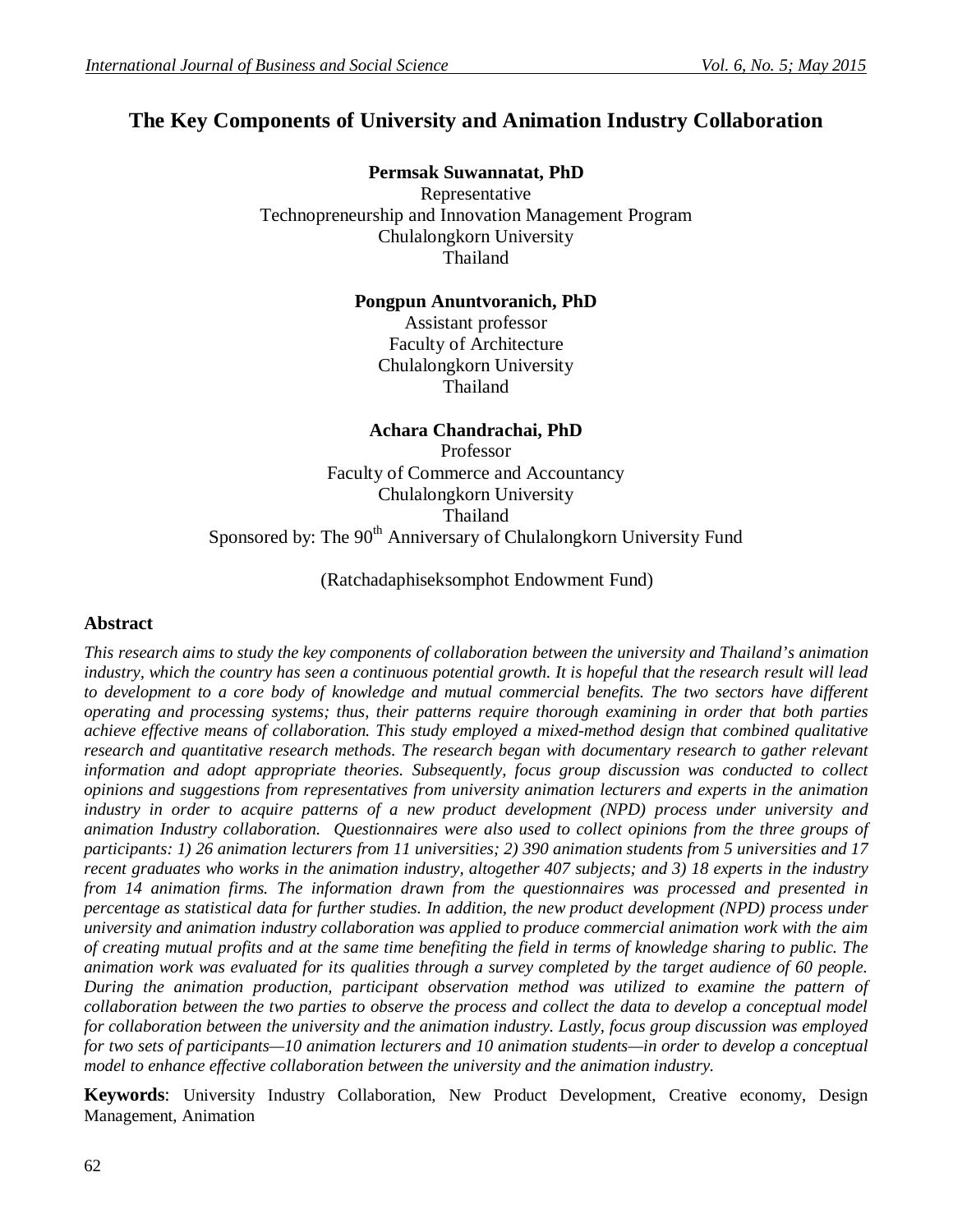# **The Key Components of University and Animation Industry Collaboration**

**Permsak Suwannatat, PhD** Representative Technopreneurship and Innovation Management Program Chulalongkorn University Thailand

## **Pongpun Anuntvoranich, PhD**

Assistant professor Faculty of Architecture Chulalongkorn University Thailand

# **Achara Chandrachai, PhD**

Professor Faculty of Commerce and Accountancy Chulalongkorn University Thailand Sponsored by: The 90<sup>th</sup> Anniversary of Chulalongkorn University Fund

(Ratchadaphiseksomphot Endowment Fund)

# **Abstract**

*This research aims to study the key components of collaboration between the university and Thailand's animation industry, which the country has seen a continuous potential growth. It is hopeful that the research result will lead to development to a core body of knowledge and mutual commercial benefits. The two sectors have different operating and processing systems; thus, their patterns require thorough examining in order that both parties achieve effective means of collaboration. This study employed a mixed-method design that combined qualitative research and quantitative research methods. The research began with documentary research to gather relevant information and adopt appropriate theories. Subsequently, focus group discussion was conducted to collect opinions and suggestions from representatives from university animation lecturers and experts in the animation industry in order to acquire patterns of a new product development (NPD) process under university and animation Industry collaboration. Questionnaires were also used to collect opinions from the three groups of participants: 1) 26 animation lecturers from 11 universities; 2) 390 animation students from 5 universities and 17 recent graduates who works in the animation industry, altogether 407 subjects; and 3) 18 experts in the industry from 14 animation firms. The information drawn from the questionnaires was processed and presented in percentage as statistical data for further studies. In addition, the new product development (NPD) process under university and animation industry collaboration was applied to produce commercial animation work with the aim of creating mutual profits and at the same time benefiting the field in terms of knowledge sharing to public. The animation work was evaluated for its qualities through a survey completed by the target audience of 60 people. During the animation production, participant observation method was utilized to examine the pattern of collaboration between the two parties to observe the process and collect the data to develop a conceptual model for collaboration between the university and the animation industry. Lastly, focus group discussion was employed for two sets of participants—10 animation lecturers and 10 animation students—in order to develop a conceptual model to enhance effective collaboration between the university and the animation industry.*

**Keywords**: University Industry Collaboration, New Product Development, Creative economy, Design Management, Animation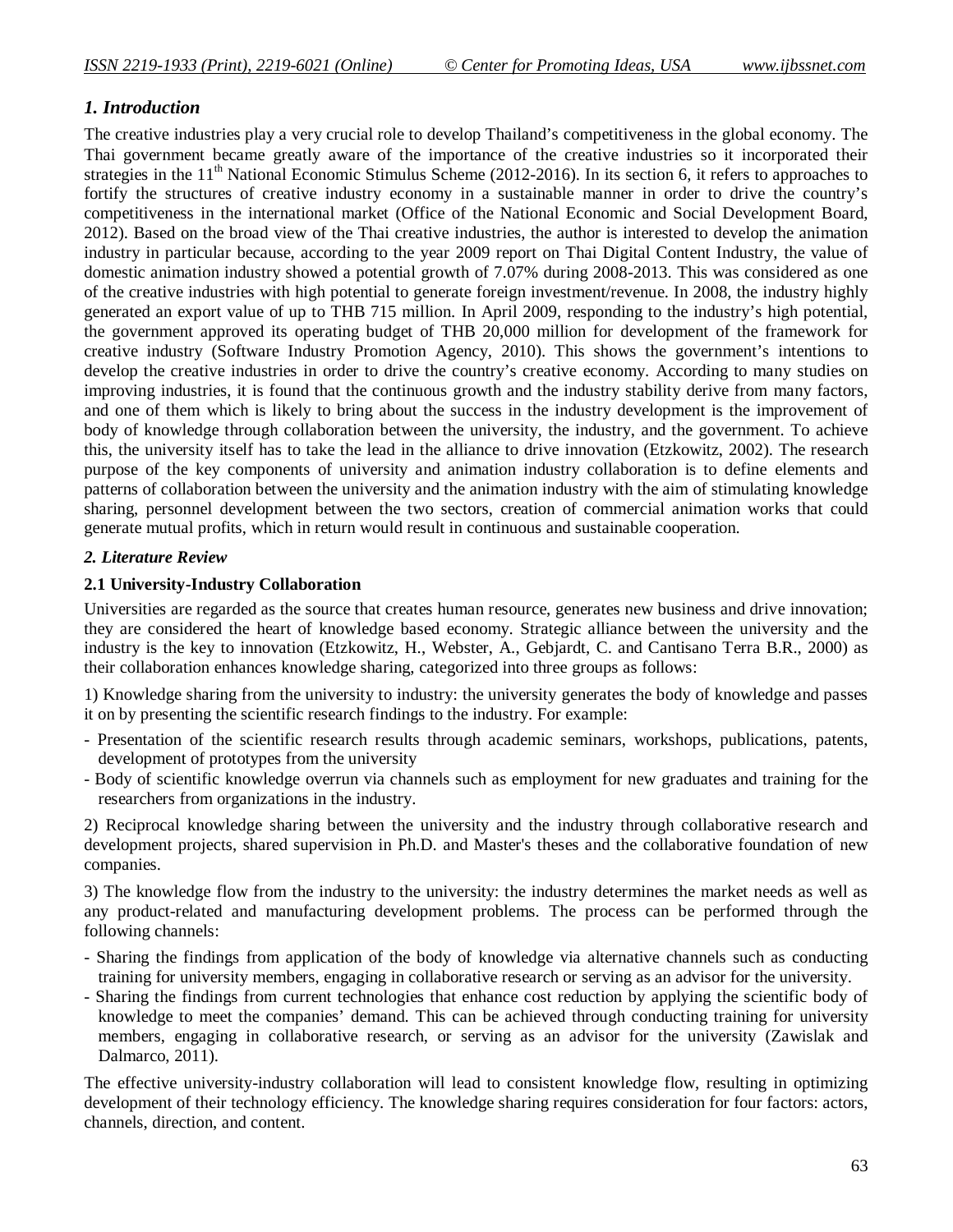# *1. Introduction*

The creative industries play a very crucial role to develop Thailand's competitiveness in the global economy. The Thai government became greatly aware of the importance of the creative industries so it incorporated their strategies in the  $11<sup>th</sup>$  National Economic Stimulus Scheme (2012-2016). In its section 6, it refers to approaches to fortify the structures of creative industry economy in a sustainable manner in order to drive the country's competitiveness in the international market (Office of the National Economic and Social Development Board, 2012). Based on the broad view of the Thai creative industries, the author is interested to develop the animation industry in particular because, according to the year 2009 report on Thai Digital Content Industry, the value of domestic animation industry showed a potential growth of 7.07% during 2008-2013. This was considered as one of the creative industries with high potential to generate foreign investment/revenue. In 2008, the industry highly generated an export value of up to THB 715 million. In April 2009, responding to the industry's high potential, the government approved its operating budget of THB 20,000 million for development of the framework for creative industry (Software Industry Promotion Agency, 2010). This shows the government's intentions to develop the creative industries in order to drive the country's creative economy. According to many studies on improving industries, it is found that the continuous growth and the industry stability derive from many factors, and one of them which is likely to bring about the success in the industry development is the improvement of body of knowledge through collaboration between the university, the industry, and the government. To achieve this, the university itself has to take the lead in the alliance to drive innovation (Etzkowitz, 2002). The research purpose of the key components of university and animation industry collaboration is to define elements and patterns of collaboration between the university and the animation industry with the aim of stimulating knowledge sharing, personnel development between the two sectors, creation of commercial animation works that could generate mutual profits, which in return would result in continuous and sustainable cooperation.

#### *2. Literature Review*

#### **2.1 University-Industry Collaboration**

Universities are regarded as the source that creates human resource, generates new business and drive innovation; they are considered the heart of knowledge based economy. Strategic alliance between the university and the industry is the key to innovation (Etzkowitz, H., Webster, A., Gebjardt, C. and Cantisano Terra B.R., 2000) as their collaboration enhances knowledge sharing, categorized into three groups as follows:

1) Knowledge sharing from the university to industry: the university generates the body of knowledge and passes it on by presenting the scientific research findings to the industry. For example:

- Presentation of the scientific research results through academic seminars, workshops, publications, patents, development of prototypes from the university
- Body of scientific knowledge overrun via channels such as employment for new graduates and training for the researchers from organizations in the industry.

2) Reciprocal knowledge sharing between the university and the industry through collaborative research and development projects, shared supervision in Ph.D. and Master's theses and the collaborative foundation of new companies.

3) The knowledge flow from the industry to the university: the industry determines the market needs as well as any product-related and manufacturing development problems. The process can be performed through the following channels:

- Sharing the findings from application of the body of knowledge via alternative channels such as conducting training for university members, engaging in collaborative research or serving as an advisor for the university.
- Sharing the findings from current technologies that enhance cost reduction by applying the scientific body of knowledge to meet the companies' demand. This can be achieved through conducting training for university members, engaging in collaborative research, or serving as an advisor for the university (Zawislak and Dalmarco, 2011).

The effective university-industry collaboration will lead to consistent knowledge flow, resulting in optimizing development of their technology efficiency. The knowledge sharing requires consideration for four factors: actors, channels, direction, and content.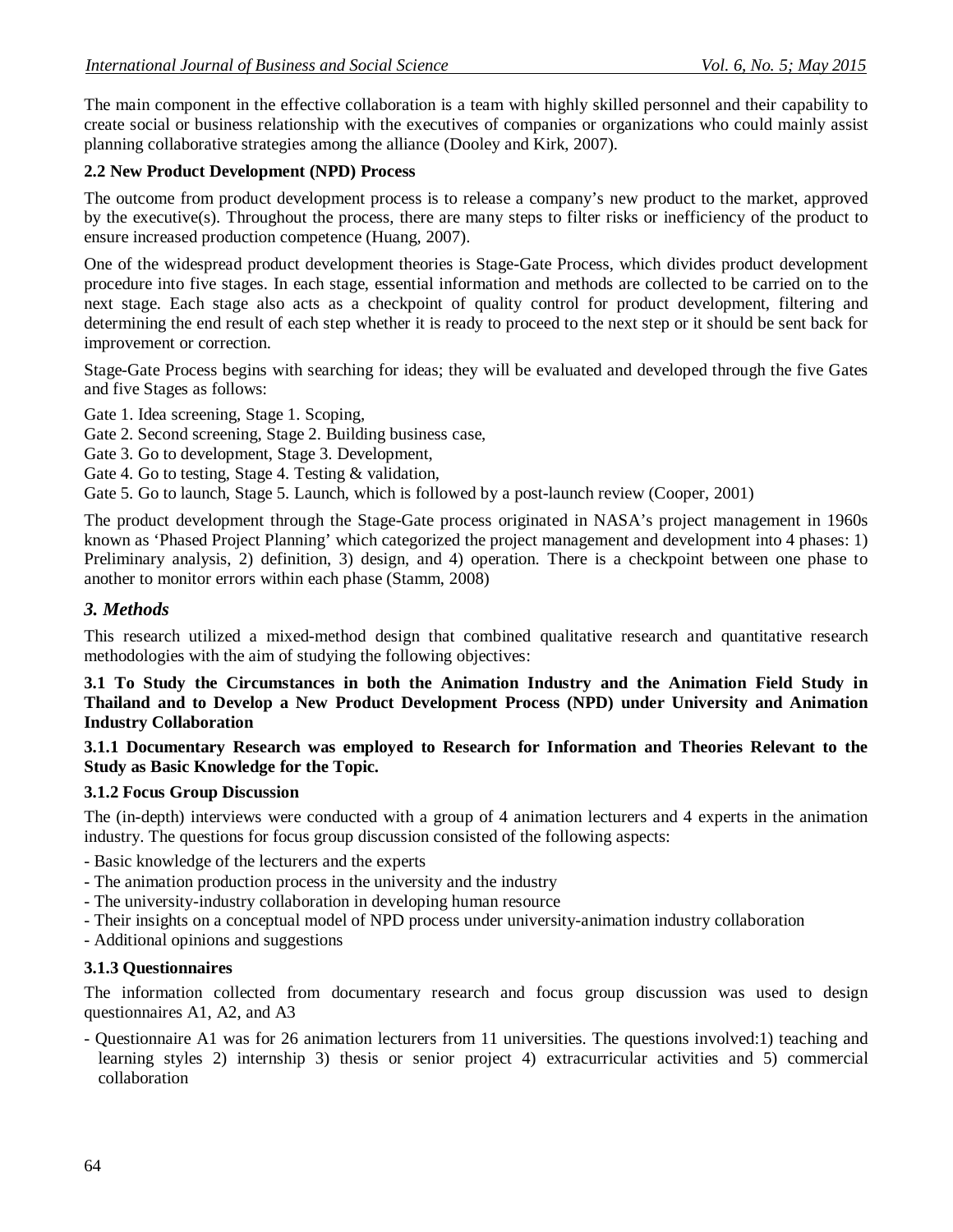The main component in the effective collaboration is a team with highly skilled personnel and their capability to create social or business relationship with the executives of companies or organizations who could mainly assist planning collaborative strategies among the alliance (Dooley and Kirk, 2007).

# **2.2 New Product Development (NPD) Process**

The outcome from product development process is to release a company's new product to the market, approved by the executive(s). Throughout the process, there are many steps to filter risks or inefficiency of the product to ensure increased production competence (Huang, 2007).

One of the widespread product development theories is Stage-Gate Process, which divides product development procedure into five stages. In each stage, essential information and methods are collected to be carried on to the next stage. Each stage also acts as a checkpoint of quality control for product development, filtering and determining the end result of each step whether it is ready to proceed to the next step or it should be sent back for improvement or correction.

Stage-Gate Process begins with searching for ideas; they will be evaluated and developed through the five Gates and five Stages as follows:

Gate 1. Idea screening, Stage 1. Scoping,

Gate 2. Second screening, Stage 2. Building business case,

- Gate 3. Go to development, Stage 3. Development,
- Gate 4. Go to testing, Stage 4. Testing & validation,

Gate 5. Go to launch, Stage 5. Launch, which is followed by a post-launch review (Cooper, 2001)

The product development through the Stage-Gate process originated in NASA's project management in 1960s known as 'Phased Project Planning' which categorized the project management and development into 4 phases: 1) Preliminary analysis, 2) definition, 3) design, and 4) operation. There is a checkpoint between one phase to another to monitor errors within each phase (Stamm, 2008)

# *3. Methods*

This research utilized a mixed-method design that combined qualitative research and quantitative research methodologies with the aim of studying the following objectives:

**3.1 To Study the Circumstances in both the Animation Industry and the Animation Field Study in Thailand and to Develop a New Product Development Process (NPD) under University and Animation Industry Collaboration**

**3.1.1 Documentary Research was employed to Research for Information and Theories Relevant to the Study as Basic Knowledge for the Topic.** 

# **3.1.2 Focus Group Discussion**

The (in-depth) interviews were conducted with a group of 4 animation lecturers and 4 experts in the animation industry. The questions for focus group discussion consisted of the following aspects:

- Basic knowledge of the lecturers and the experts

- The animation production process in the university and the industry
- The university-industry collaboration in developing human resource
- Their insights on a conceptual model of NPD process under university-animation industry collaboration
- Additional opinions and suggestions

# **3.1.3 Questionnaires**

The information collected from documentary research and focus group discussion was used to design questionnaires A1, A2, and A3

- Questionnaire A1 was for 26 animation lecturers from 11 universities. The questions involved:1) teaching and learning styles 2) internship 3) thesis or senior project 4) extracurricular activities and 5) commercial collaboration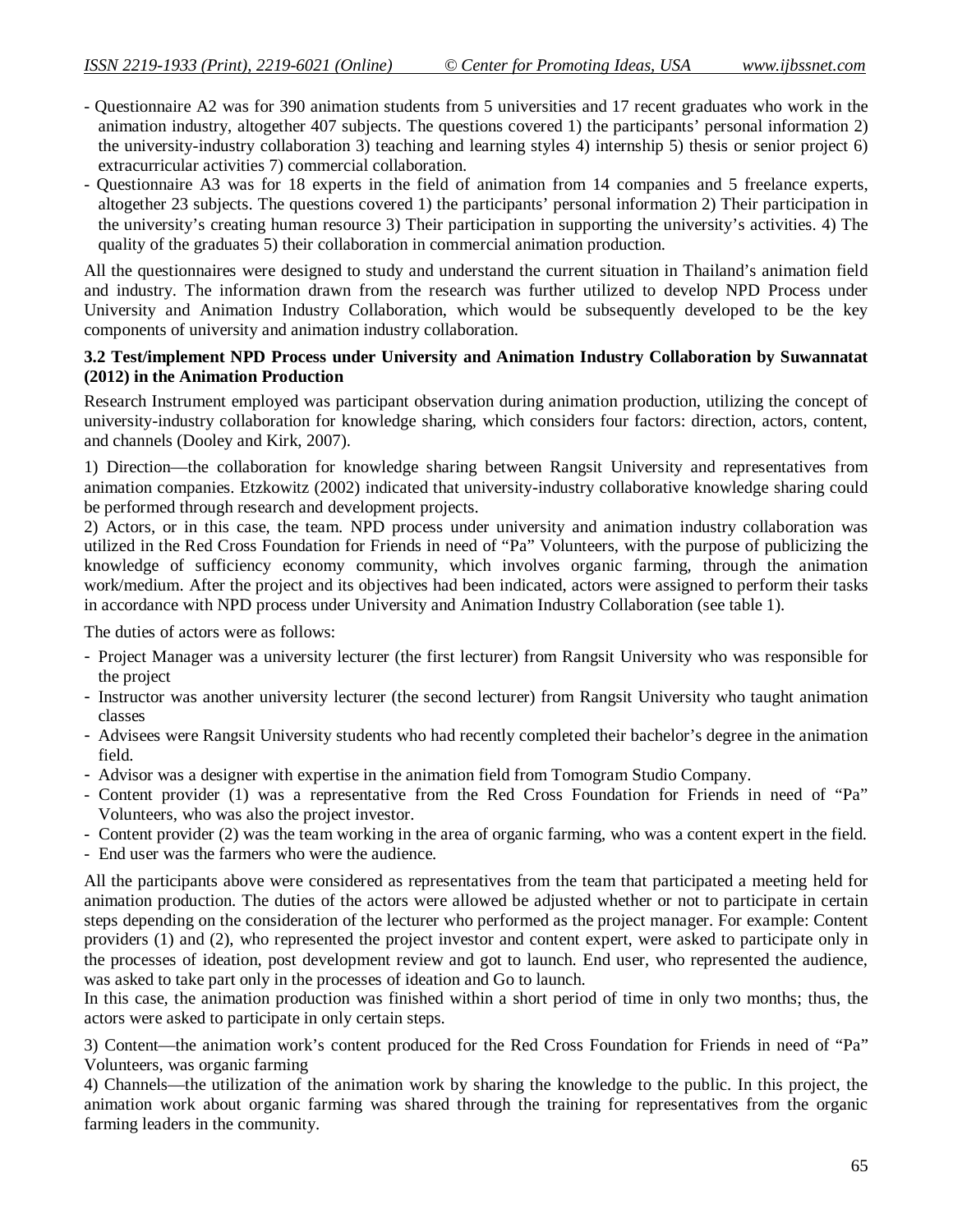- Questionnaire A2 was for 390 animation students from 5 universities and 17 recent graduates who work in the animation industry, altogether 407 subjects. The questions covered 1) the participants' personal information 2) the university-industry collaboration 3) teaching and learning styles 4) internship 5) thesis or senior project 6) extracurricular activities 7) commercial collaboration.
- Questionnaire A3 was for 18 experts in the field of animation from 14 companies and 5 freelance experts, altogether 23 subjects. The questions covered 1) the participants' personal information 2) Their participation in the university's creating human resource 3) Their participation in supporting the university's activities. 4) The quality of the graduates 5) their collaboration in commercial animation production.

All the questionnaires were designed to study and understand the current situation in Thailand's animation field and industry. The information drawn from the research was further utilized to develop NPD Process under University and Animation Industry Collaboration, which would be subsequently developed to be the key components of university and animation industry collaboration.

## **3.2 Test/implement NPD Process under University and Animation Industry Collaboration by Suwannatat (2012) in the Animation Production**

Research Instrument employed was participant observation during animation production, utilizing the concept of university-industry collaboration for knowledge sharing, which considers four factors: direction, actors, content, and channels (Dooley and Kirk, 2007).

1) Direction—the collaboration for knowledge sharing between Rangsit University and representatives from animation companies. Etzkowitz (2002) indicated that university-industry collaborative knowledge sharing could be performed through research and development projects.

2) Actors, or in this case, the team. NPD process under university and animation industry collaboration was utilized in the Red Cross Foundation for Friends in need of "Pa" Volunteers, with the purpose of publicizing the knowledge of sufficiency economy community, which involves organic farming, through the animation work/medium. After the project and its objectives had been indicated, actors were assigned to perform their tasks in accordance with NPD process under University and Animation Industry Collaboration (see table 1).

The duties of actors were as follows:

- Project Manager was a university lecturer (the first lecturer) from Rangsit University who was responsible for the project
- Instructor was another university lecturer (the second lecturer) from Rangsit University who taught animation classes
- Advisees were Rangsit University students who had recently completed their bachelor's degree in the animation field.
- Advisor was a designer with expertise in the animation field from Tomogram Studio Company.
- Content provider (1) was a representative from the Red Cross Foundation for Friends in need of "Pa" Volunteers, who was also the project investor.
- Content provider (2) was the team working in the area of organic farming, who was a content expert in the field.
- End user was the farmers who were the audience.

All the participants above were considered as representatives from the team that participated a meeting held for animation production. The duties of the actors were allowed be adjusted whether or not to participate in certain steps depending on the consideration of the lecturer who performed as the project manager. For example: Content providers (1) and (2), who represented the project investor and content expert, were asked to participate only in the processes of ideation, post development review and got to launch. End user, who represented the audience, was asked to take part only in the processes of ideation and Go to launch.

In this case, the animation production was finished within a short period of time in only two months; thus, the actors were asked to participate in only certain steps.

3) Content—the animation work's content produced for the Red Cross Foundation for Friends in need of "Pa" Volunteers, was organic farming

4) Channels—the utilization of the animation work by sharing the knowledge to the public. In this project, the animation work about organic farming was shared through the training for representatives from the organic farming leaders in the community.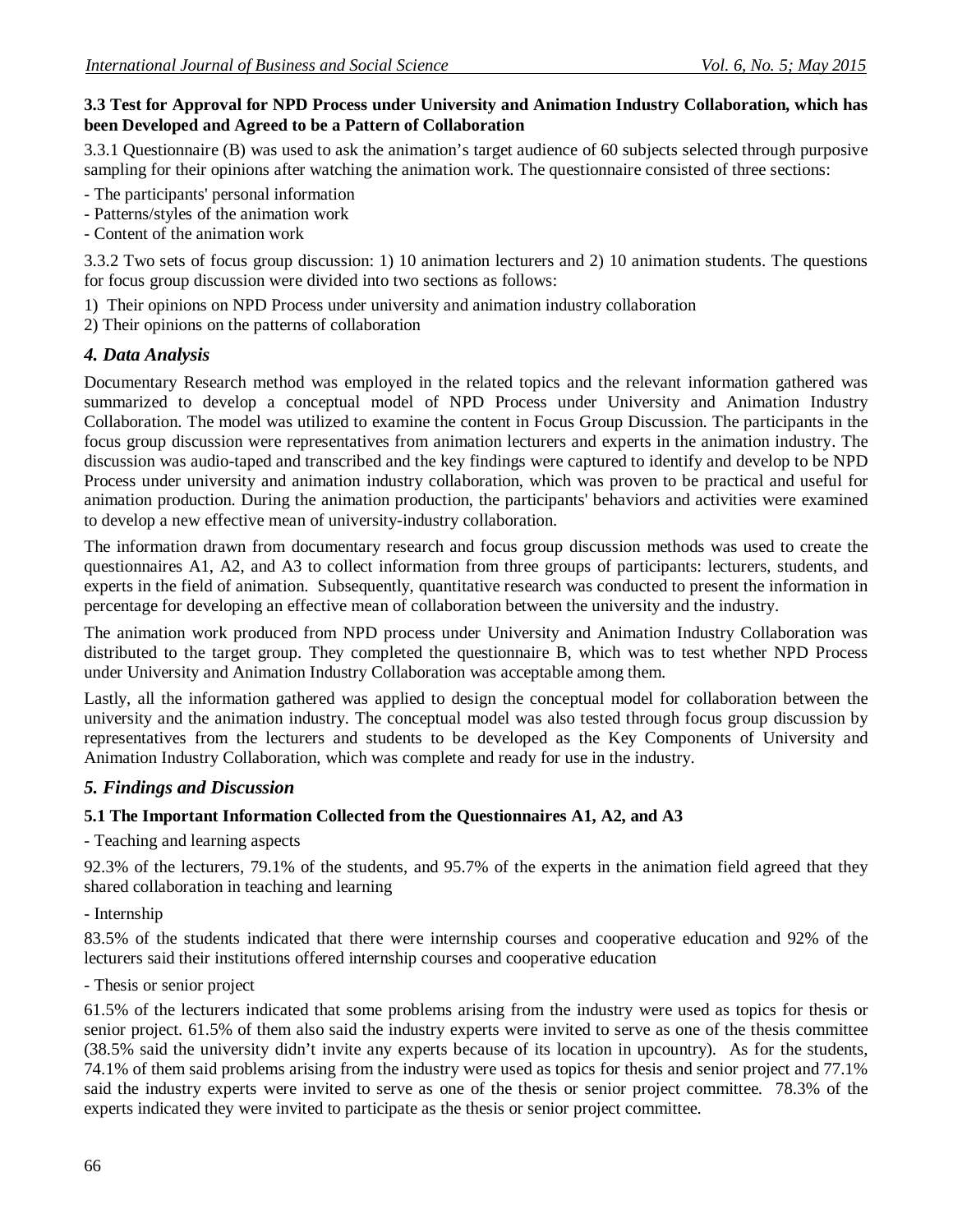# **3.3 Test for Approval for NPD Process under University and Animation Industry Collaboration, which has been Developed and Agreed to be a Pattern of Collaboration**

3.3.1 Questionnaire (B) was used to ask the animation's target audience of 60 subjects selected through purposive sampling for their opinions after watching the animation work. The questionnaire consisted of three sections:

- The participants' personal information

- Patterns/styles of the animation work
- Content of the animation work

3.3.2 Two sets of focus group discussion: 1) 10 animation lecturers and 2) 10 animation students. The questions for focus group discussion were divided into two sections as follows:

- 1) Their opinions on NPD Process under university and animation industry collaboration
- 2) Their opinions on the patterns of collaboration

# *4. Data Analysis*

Documentary Research method was employed in the related topics and the relevant information gathered was summarized to develop a conceptual model of NPD Process under University and Animation Industry Collaboration. The model was utilized to examine the content in Focus Group Discussion. The participants in the focus group discussion were representatives from animation lecturers and experts in the animation industry. The discussion was audio-taped and transcribed and the key findings were captured to identify and develop to be NPD Process under university and animation industry collaboration, which was proven to be practical and useful for animation production. During the animation production, the participants' behaviors and activities were examined to develop a new effective mean of university-industry collaboration.

The information drawn from documentary research and focus group discussion methods was used to create the questionnaires A1, A2, and A3 to collect information from three groups of participants: lecturers, students, and experts in the field of animation. Subsequently, quantitative research was conducted to present the information in percentage for developing an effective mean of collaboration between the university and the industry.

The animation work produced from NPD process under University and Animation Industry Collaboration was distributed to the target group. They completed the questionnaire B, which was to test whether NPD Process under University and Animation Industry Collaboration was acceptable among them.

Lastly, all the information gathered was applied to design the conceptual model for collaboration between the university and the animation industry. The conceptual model was also tested through focus group discussion by representatives from the lecturers and students to be developed as the Key Components of University and Animation Industry Collaboration, which was complete and ready for use in the industry.

# *5. Findings and Discussion*

# **5.1 The Important Information Collected from the Questionnaires A1, A2, and A3**

- Teaching and learning aspects

92.3% of the lecturers, 79.1% of the students, and 95.7% of the experts in the animation field agreed that they shared collaboration in teaching and learning

- Internship

83.5% of the students indicated that there were internship courses and cooperative education and 92% of the lecturers said their institutions offered internship courses and cooperative education

# - Thesis or senior project

61.5% of the lecturers indicated that some problems arising from the industry were used as topics for thesis or senior project. 61.5% of them also said the industry experts were invited to serve as one of the thesis committee (38.5% said the university didn't invite any experts because of its location in upcountry). As for the students, 74.1% of them said problems arising from the industry were used as topics for thesis and senior project and 77.1% said the industry experts were invited to serve as one of the thesis or senior project committee. 78.3% of the experts indicated they were invited to participate as the thesis or senior project committee.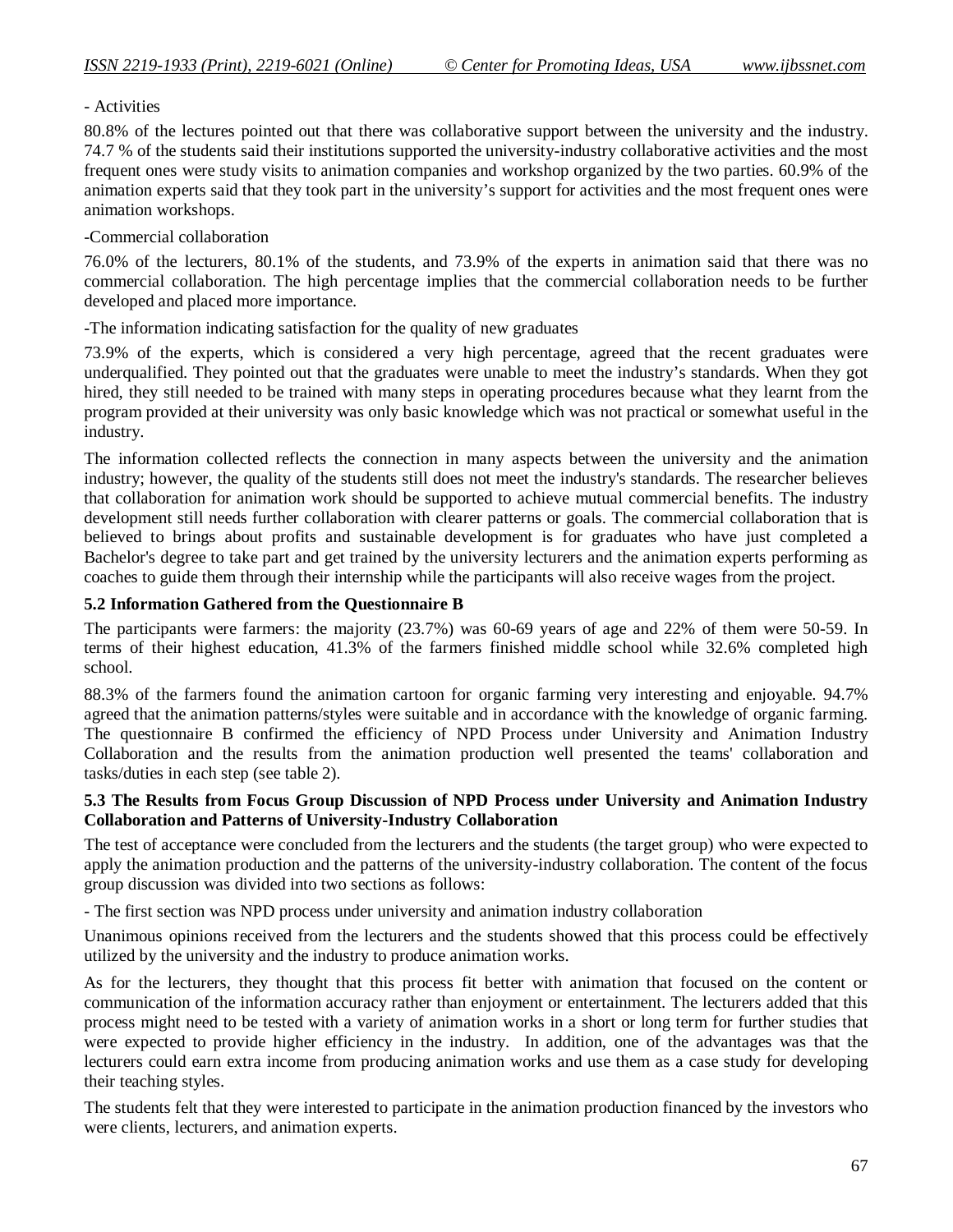- Activities

80.8% of the lectures pointed out that there was collaborative support between the university and the industry. 74.7 % of the students said their institutions supported the university-industry collaborative activities and the most frequent ones were study visits to animation companies and workshop organized by the two parties. 60.9% of the animation experts said that they took part in the university's support for activities and the most frequent ones were animation workshops.

### -Commercial collaboration

76.0% of the lecturers, 80.1% of the students, and 73.9% of the experts in animation said that there was no commercial collaboration. The high percentage implies that the commercial collaboration needs to be further developed and placed more importance.

-The information indicating satisfaction for the quality of new graduates

73.9% of the experts, which is considered a very high percentage, agreed that the recent graduates were underqualified. They pointed out that the graduates were unable to meet the industry's standards. When they got hired, they still needed to be trained with many steps in operating procedures because what they learnt from the program provided at their university was only basic knowledge which was not practical or somewhat useful in the industry.

The information collected reflects the connection in many aspects between the university and the animation industry; however, the quality of the students still does not meet the industry's standards. The researcher believes that collaboration for animation work should be supported to achieve mutual commercial benefits. The industry development still needs further collaboration with clearer patterns or goals. The commercial collaboration that is believed to brings about profits and sustainable development is for graduates who have just completed a Bachelor's degree to take part and get trained by the university lecturers and the animation experts performing as coaches to guide them through their internship while the participants will also receive wages from the project.

# **5.2 Information Gathered from the Questionnaire B**

The participants were farmers: the majority (23.7%) was 60-69 years of age and 22% of them were 50-59. In terms of their highest education, 41.3% of the farmers finished middle school while 32.6% completed high school.

88.3% of the farmers found the animation cartoon for organic farming very interesting and enjoyable. 94.7% agreed that the animation patterns/styles were suitable and in accordance with the knowledge of organic farming. The questionnaire B confirmed the efficiency of NPD Process under University and Animation Industry Collaboration and the results from the animation production well presented the teams' collaboration and tasks/duties in each step (see table 2).

### **5.3 The Results from Focus Group Discussion of NPD Process under University and Animation Industry Collaboration and Patterns of University-Industry Collaboration**

The test of acceptance were concluded from the lecturers and the students (the target group) who were expected to apply the animation production and the patterns of the university-industry collaboration. The content of the focus group discussion was divided into two sections as follows:

- The first section was NPD process under university and animation industry collaboration

Unanimous opinions received from the lecturers and the students showed that this process could be effectively utilized by the university and the industry to produce animation works.

As for the lecturers, they thought that this process fit better with animation that focused on the content or communication of the information accuracy rather than enjoyment or entertainment. The lecturers added that this process might need to be tested with a variety of animation works in a short or long term for further studies that were expected to provide higher efficiency in the industry. In addition, one of the advantages was that the lecturers could earn extra income from producing animation works and use them as a case study for developing their teaching styles.

The students felt that they were interested to participate in the animation production financed by the investors who were clients, lecturers, and animation experts.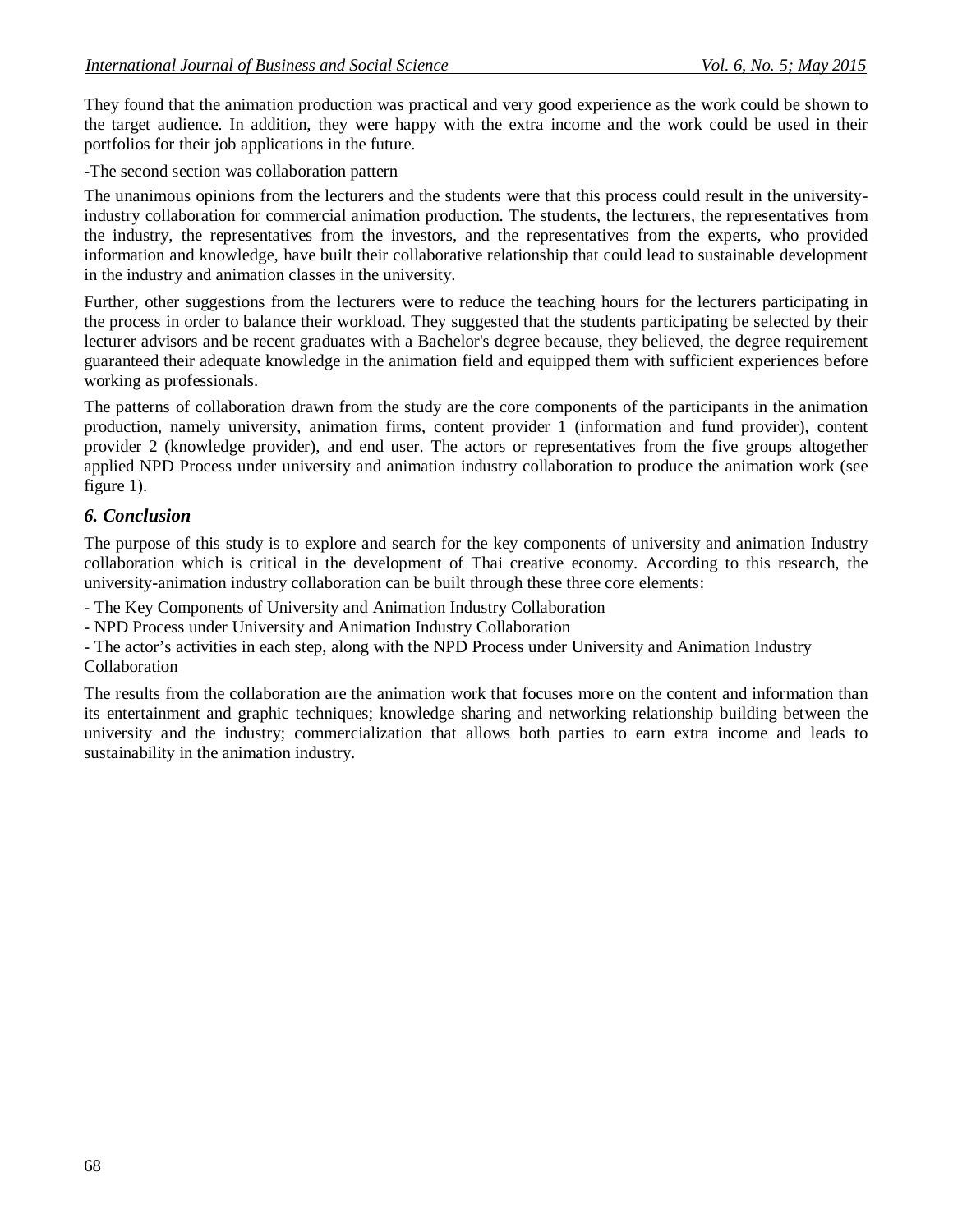They found that the animation production was practical and very good experience as the work could be shown to the target audience. In addition, they were happy with the extra income and the work could be used in their portfolios for their job applications in the future.

-The second section was collaboration pattern

The unanimous opinions from the lecturers and the students were that this process could result in the universityindustry collaboration for commercial animation production. The students, the lecturers, the representatives from the industry, the representatives from the investors, and the representatives from the experts, who provided information and knowledge, have built their collaborative relationship that could lead to sustainable development in the industry and animation classes in the university.

Further, other suggestions from the lecturers were to reduce the teaching hours for the lecturers participating in the process in order to balance their workload. They suggested that the students participating be selected by their lecturer advisors and be recent graduates with a Bachelor's degree because, they believed, the degree requirement guaranteed their adequate knowledge in the animation field and equipped them with sufficient experiences before working as professionals.

The patterns of collaboration drawn from the study are the core components of the participants in the animation production, namely university, animation firms, content provider 1 (information and fund provider), content provider 2 (knowledge provider), and end user. The actors or representatives from the five groups altogether applied NPD Process under university and animation industry collaboration to produce the animation work (see figure 1).

# *6. Conclusion*

The purpose of this study is to explore and search for the key components of university and animation Industry collaboration which is critical in the development of Thai creative economy. According to this research, the university-animation industry collaboration can be built through these three core elements:

- The Key Components of University and Animation Industry Collaboration

- NPD Process under University and Animation Industry Collaboration

- The actor's activities in each step, along with the NPD Process under University and Animation Industry Collaboration

The results from the collaboration are the animation work that focuses more on the content and information than its entertainment and graphic techniques; knowledge sharing and networking relationship building between the university and the industry; commercialization that allows both parties to earn extra income and leads to sustainability in the animation industry.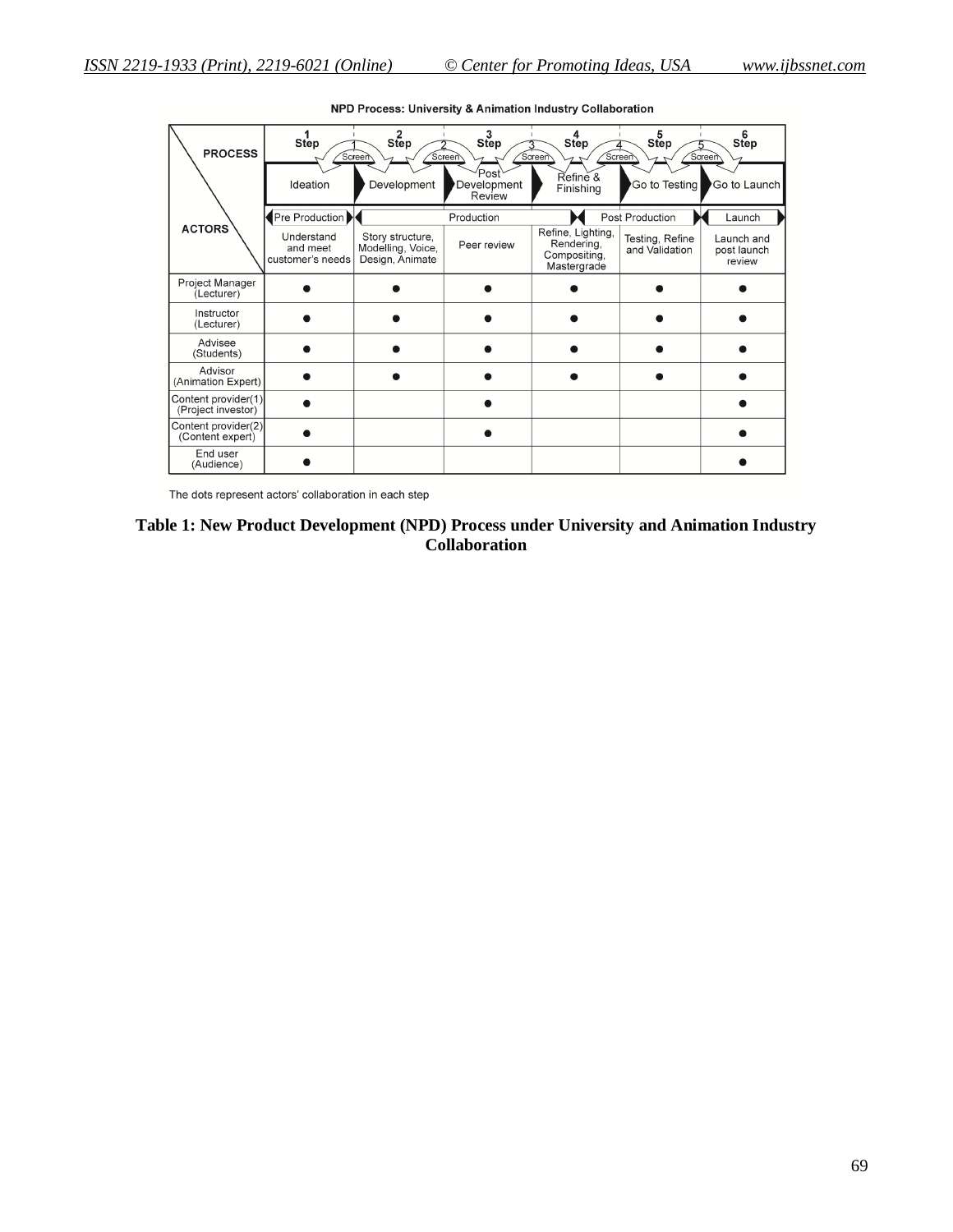| <b>PROCESS</b>                            | Step                                       | Step<br>Screen                                           | Step<br>Screen                             | Step<br>Soreen<br>Screen                                       | <b>Step</b>                       | 6 <sub>step</sub><br>Soreen         |
|-------------------------------------------|--------------------------------------------|----------------------------------------------------------|--------------------------------------------|----------------------------------------------------------------|-----------------------------------|-------------------------------------|
|                                           | Ideation                                   | Development                                              | Post <sup>\</sup><br>Development<br>Review | Refine &<br>Finishing                                          | Go to Testing                     | Go to Launch                        |
|                                           | Pre Production                             |                                                          | Production                                 |                                                                | Post Production                   | Launch                              |
| <b>ACTORS</b>                             | Understand<br>and meet<br>customer's needs | Story structure,<br>Modelling, Voice,<br>Design, Animate | Peer review                                | Refine, Lighting,<br>Rendering,<br>Compositing,<br>Mastergrade | Testing, Refine<br>and Validation | Launch and<br>post launch<br>review |
| Project Manager<br>(Lecturer)             |                                            |                                                          |                                            |                                                                |                                   |                                     |
| Instructor<br>(Lecturer)                  |                                            |                                                          |                                            |                                                                |                                   |                                     |
| Advisee<br>(Students)                     |                                            |                                                          |                                            |                                                                |                                   |                                     |
| Advisor<br>(Animation Expert)             |                                            |                                                          |                                            |                                                                |                                   |                                     |
| Content provider(1)<br>(Project investor) |                                            |                                                          |                                            |                                                                |                                   |                                     |
| Content provider(2)<br>(Content expert)   |                                            |                                                          |                                            |                                                                |                                   |                                     |
| End user<br>(Audience)                    |                                            |                                                          |                                            |                                                                |                                   |                                     |

NPD Process: University & Animation Industry Collaboration

The dots represent actors' collaboration in each step

# **Table 1: New Product Development (NPD) Process under University and Animation Industry Collaboration**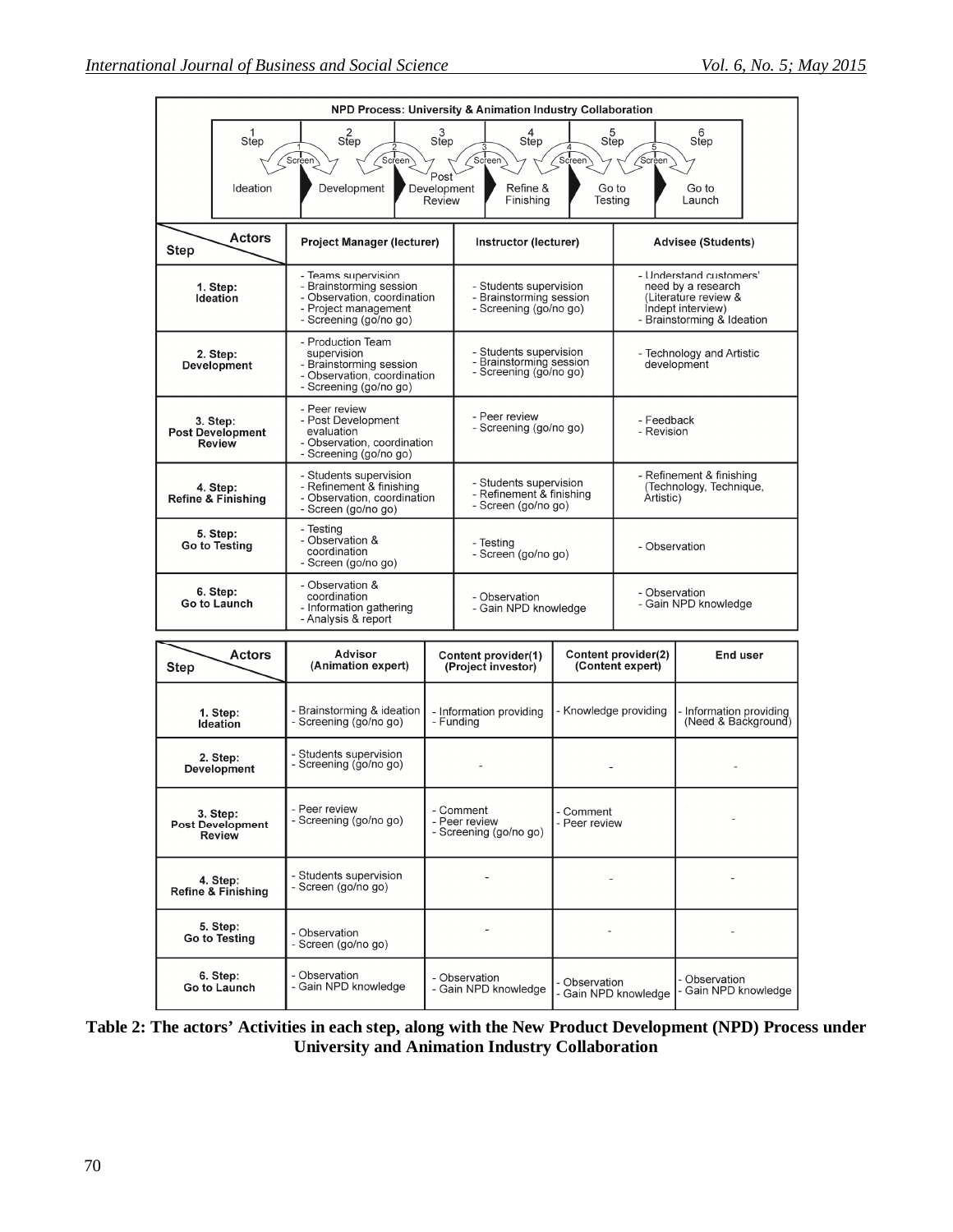$\overline{\phantom{a}}$ 

 $\overline{\phantom{a}}$ 

- Observation<br>- Gain NPD knowledge

 $\overline{\phantom{a}}$ 

 $\overline{a}$ 

- Observation<br>- Gain NPD knowledge

| NPD Process: University & Animation Industry Collaboration                                                                                              |                                                      |                                                                                                                      |                                                                           |                                                                                    |                                                                                                                          |                                          |                                              |  |  |
|---------------------------------------------------------------------------------------------------------------------------------------------------------|------------------------------------------------------|----------------------------------------------------------------------------------------------------------------------|---------------------------------------------------------------------------|------------------------------------------------------------------------------------|--------------------------------------------------------------------------------------------------------------------------|------------------------------------------|----------------------------------------------|--|--|
|                                                                                                                                                         | $\frac{1}{\mathsf{Step}}$<br>2<br>Step<br>Screen     |                                                                                                                      | 3<br>Step                                                                 | $\frac{4}{\text{Step}}$<br>Screen                                                  | 5 <sub>5</sub><br>Screen<br>Screen                                                                                       |                                          | $rac{6}{\text{Step}}$                        |  |  |
|                                                                                                                                                         | Ideation                                             | (Screen)<br>Development                                                                                              | Post<br>Development<br>Review                                             | Refine &<br>Finishing                                                              |                                                                                                                          | Go to<br>Testing                         | Go to<br>Launch                              |  |  |
| Actors<br><b>Project Manager (lecturer)</b><br><b>Step</b>                                                                                              |                                                      |                                                                                                                      |                                                                           | Instructor (lecturer)                                                              |                                                                                                                          |                                          | <b>Advisee (Students)</b>                    |  |  |
| - Teams supervision<br>- Brainstorming session<br>1. Step:<br>- Observation, coordination<br>Ideation<br>- Project management<br>- Screening (go/no go) |                                                      | - Students supervision<br>- Brainstorming session<br>- Screening (go/no go)                                          |                                                                           |                                                                                    | - Understand customers'<br>need by a research<br>(Literature review &<br>Indept interview)<br>- Brainstorming & Ideation |                                          |                                              |  |  |
|                                                                                                                                                         | 2. Step:<br>Development                              | - Production Team<br>supervision<br>- Brainstorming session<br>- Observation, coordination<br>- Screening (go/no go) |                                                                           | - Students supervision<br>- Brainstorming session<br>- Screening (go/no go)        |                                                                                                                          | - Technology and Artistic<br>development |                                              |  |  |
|                                                                                                                                                         | 3. Step:<br><b>Post Development</b><br><b>Review</b> | - Peer review<br>- Post Development<br>evaluation<br>- Observation, coordination<br>- Screening (go/no go)           |                                                                           | - Peer review<br>- Screening (go/no go)                                            |                                                                                                                          | - Feedback<br>- Revision                 |                                              |  |  |
| - Students supervision<br>- Refinement & finishing<br>4. Step:<br>- Observation, coordination<br><b>Refine &amp; Finishing</b><br>- Screen (go/no go)   |                                                      |                                                                                                                      | - Students supervision<br>- Refinement & finishing<br>- Screen (go/no go) |                                                                                    | - Refinement & finishing<br>(Technology, Technique,<br>Artistic)                                                         |                                          |                                              |  |  |
| - Testing<br>5. Step:<br>- Observation &<br>Go to Testing<br>coordination<br>- Screen (go/no go)                                                        |                                                      |                                                                                                                      | - Testing<br>- Screen (go/no go)                                          |                                                                                    | - Observation                                                                                                            |                                          |                                              |  |  |
| - Observation &<br>6. Step:<br>coordination<br>Go to Launch<br>- Information gathering<br>- Analysis & report                                           |                                                      |                                                                                                                      | - Observation<br>- Gain NPD knowledge                                     |                                                                                    | - Observation<br>- Gain NPD knowledge                                                                                    |                                          |                                              |  |  |
| <b>Step</b>                                                                                                                                             | <b>Actors</b>                                        | <b>Advisor</b><br>(Animation expert)                                                                                 |                                                                           | <b>Content provider(1)</b><br>(Project investor)                                   |                                                                                                                          | Content provider(2)<br>(Content expert)  | End user                                     |  |  |
|                                                                                                                                                         | 1. Step:<br><b>Ideation</b>                          | - Brainstorming & ideation<br>- Screening (go/no go)<br>- Funding                                                    |                                                                           | - Information providing                                                            | - Knowledge providing                                                                                                    |                                          | Information providing<br>(Need & Background) |  |  |
|                                                                                                                                                         | 2. Step:<br><b>Development</b>                       | Students supervision<br>- Screening (go/no go)                                                                       |                                                                           |                                                                                    |                                                                                                                          |                                          |                                              |  |  |
|                                                                                                                                                         | 3. Step:<br><b>Post Development</b><br><b>Review</b> | - Peer review<br>- Screening (go/no go)                                                                              |                                                                           | - Comment<br>- Comment<br>- Peer review<br>- Peer review<br>- Screening (go/no go) |                                                                                                                          |                                          |                                              |  |  |

| Table 2: The actors' Activities in each step, along with the New Product Development (NPD) Process under |
|----------------------------------------------------------------------------------------------------------|
| University and Animation Industry Collaboration                                                          |

 $\overline{a}$ 

 $\overline{\phantom{0}}$ 

- Observation<br>- Gain NPD knowledge

- Students supervision<br>- Screen (go/no go)

- Observation<br>- Screen (go/no go)

- Observation<br>- Gain NPD knowledge

4. Step:<br>Refine & Finishing

5. Step:<br>Go to Testing

6. Step:<br>Go to Launch